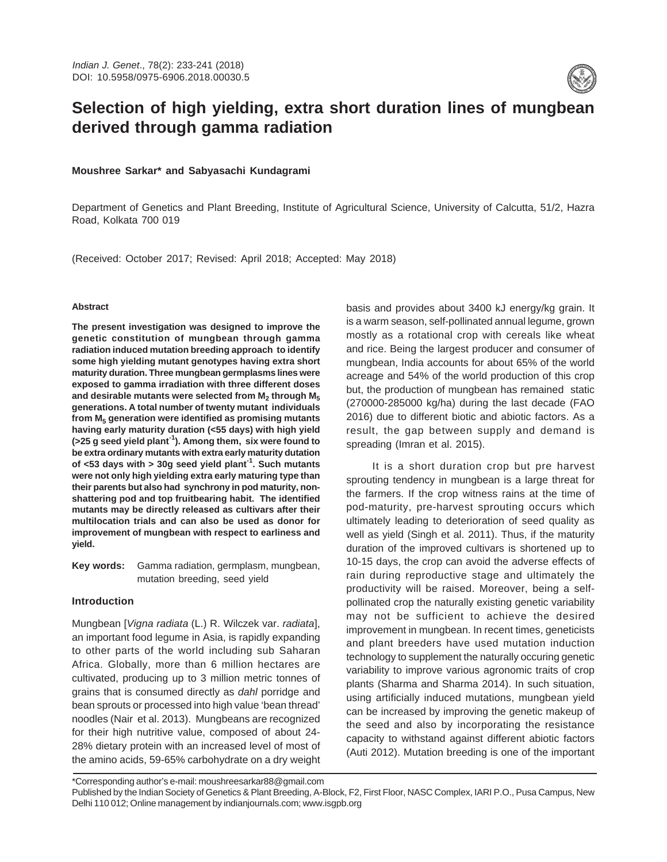

# **Selection of high yielding, extra short duration lines of mungbean derived through gamma radiation**

# **Moushree Sarkar\* and Sabyasachi Kundagrami**

Department of Genetics and Plant Breeding, Institute of Agricultural Science, University of Calcutta, 51/2, Hazra Road, Kolkata 700 019

(Received: October 2017; Revised: April 2018; Accepted: May 2018)

# **Abstract**

**The present investigation was designed to improve the genetic constitution of mungbean through gamma radiation induced mutation breeding approach to identify some high yielding mutant genotypes having extra short maturity duration. Three mungbean germplasms lines were exposed to gamma irradiation with three different doses and desirable mutants were selected from M<sup>2</sup> through M<sup>5</sup> generations. A total number of twenty mutant individuals from M<sup>5</sup> generation were identified as promising mutants having early maturity duration (<55 days) with high yield (>25 g seed yield plant-1). Among them, six were found to be extra ordinary mutants with extra early maturity dutation of <53 days with > 30g seed yield plant-1. Such mutants were not only high yielding extra early maturing type than their parents but also had synchrony in pod maturity, nonshattering pod and top fruitbearing habit. The identified mutants may be directly released as cultivars after their multilocation trials and can also be used as donor for improvement of mungbean with respect to earliness and yield.**

**Key words:** Gamma radiation, germplasm, mungbean, mutation breeding, seed yield

# **Introduction**

Mungbean [Vigna radiata (L.) R. Wilczek var. radiata], an important food legume in Asia, is rapidly expanding to other parts of the world including sub Saharan Africa. Globally, more than 6 million hectares are cultivated, producing up to 3 million metric tonnes of grains that is consumed directly as dahl porridge and bean sprouts or processed into high value 'bean thread' noodles (Nair et al. 2013). Mungbeans are recognized for their high nutritive value, composed of about 24- 28% dietary protein with an increased level of most of the amino acids, 59-65% carbohydrate on a dry weight basis and provides about 3400 kJ energy/kg grain. It is a warm season, self-pollinated annual legume, grown mostly as a rotational crop with cereals like wheat and rice. Being the largest producer and consumer of mungbean, India accounts for about 65% of the world acreage and 54% of the world production of this crop but, the production of mungbean has remained static (270000-285000 kg/ha) during the last decade (FAO 2016) due to different biotic and abiotic factors. As a result, the gap between supply and demand is spreading (Imran et al. 2015).

It is a short duration crop but pre harvest sprouting tendency in mungbean is a large threat for the farmers. If the crop witness rains at the time of pod-maturity, pre-harvest sprouting occurs which ultimately leading to deterioration of seed quality as well as yield (Singh et al. 2011). Thus, if the maturity duration of the improved cultivars is shortened up to 10-15 days, the crop can avoid the adverse effects of rain during reproductive stage and ultimately the productivity will be raised. Moreover, being a selfpollinated crop the naturally existing genetic variability may not be sufficient to achieve the desired improvement in mungbean. In recent times, geneticists and plant breeders have used mutation induction technology to supplement the naturally occuring genetic variability to improve various agronomic traits of crop plants (Sharma and Sharma 2014). In such situation, using artificially induced mutations, mungbean yield can be increased by improving the genetic makeup of the seed and also by incorporating the resistance capacity to withstand against different abiotic factors (Auti 2012). Mutation breeding is one of the important

\*Corresponding author's e-mail: moushreesarkar88@gmail.com

Published by the Indian Society of Genetics & Plant Breeding, A-Block, F2, First Floor, NASC Complex, IARI P.O., Pusa Campus, New Delhi 110 012; Online management by indianjournals.com; www.isgpb.org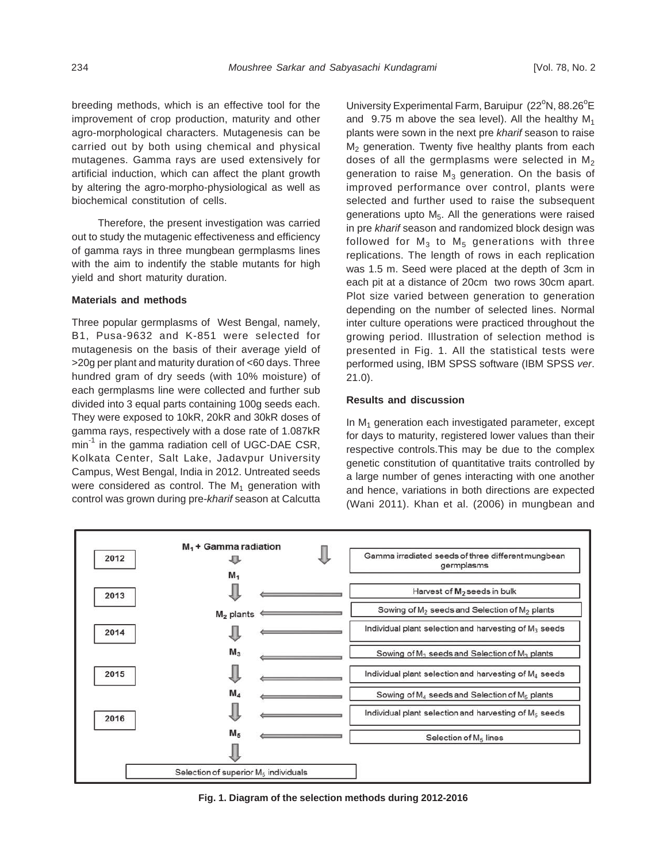breeding methods, which is an effective tool for the improvement of crop production, maturity and other agro-morphological characters. Mutagenesis can be carried out by both using chemical and physical mutagenes. Gamma rays are used extensively for artificial induction, which can affect the plant growth by altering the agro-morpho-physiological as well as biochemical constitution of cells.

Therefore, the present investigation was carried out to study the mutagenic effectiveness and efficiency of gamma rays in three mungbean germplasms lines with the aim to indentify the stable mutants for high yield and short maturity duration.

# **Materials and methods**

Three popular germplasms of West Bengal, namely, B1, Pusa-9632 and K-851 were selected for mutagenesis on the basis of their average yield of >20g per plant and maturity duration of <60 days. Three hundred gram of dry seeds (with 10% moisture) of each germplasms line were collected and further sub divided into 3 equal parts containing 100g seeds each. They were exposed to 10kR, 20kR and 30kR doses of gamma rays, respectively with a dose rate of 1.087kR min<sup>-1</sup> in the gamma radiation cell of UGC-DAE CSR, Kolkata Center, Salt Lake, Jadavpur University Campus, West Bengal, India in 2012. Untreated seeds were considered as control. The  $M_1$  generation with control was grown during pre-kharif season at Calcutta

University Experimental Farm, Baruipur  $(22^{\circ}N, 88.26^{\circ}E)$ and 9.75 m above the sea level). All the healthy  $M_1$ plants were sown in the next pre kharif season to raise  $M_2$  generation. Twenty five healthy plants from each doses of all the germplasms were selected in  $M_2$ generation to raise  $\mathsf{M}_3$  generation. On the basis of improved performance over control, plants were selected and further used to raise the subsequent generations upto  $M<sub>5</sub>$ . All the generations were raised in pre kharif season and randomized block design was followed for M $_3$  to M $_5$  generations with three replications. The length of rows in each replication was 1.5 m. Seed were placed at the depth of 3cm in each pit at a distance of 20cm two rows 30cm apart. Plot size varied between generation to generation depending on the number of selected lines. Normal inter culture operations were practiced throughout the growing period. Illustration of selection method is presented in Fig. 1. All the statistical tests were performed using, IBM SPSS software (IBM SPSS ver. 21.0).

# **Results and discussion**

In  $M_1$  generation each investigated parameter, except for days to maturity, registered lower values than their respective controls.This may be due to the complex genetic constitution of quantitative traits controlled by a large number of genes interacting with one another and hence, variations in both directions are expected (Wani 2011). Khan et al. (2006) in mungbean and



**Fig. 1. Diagram of the selection methods during 2012-2016**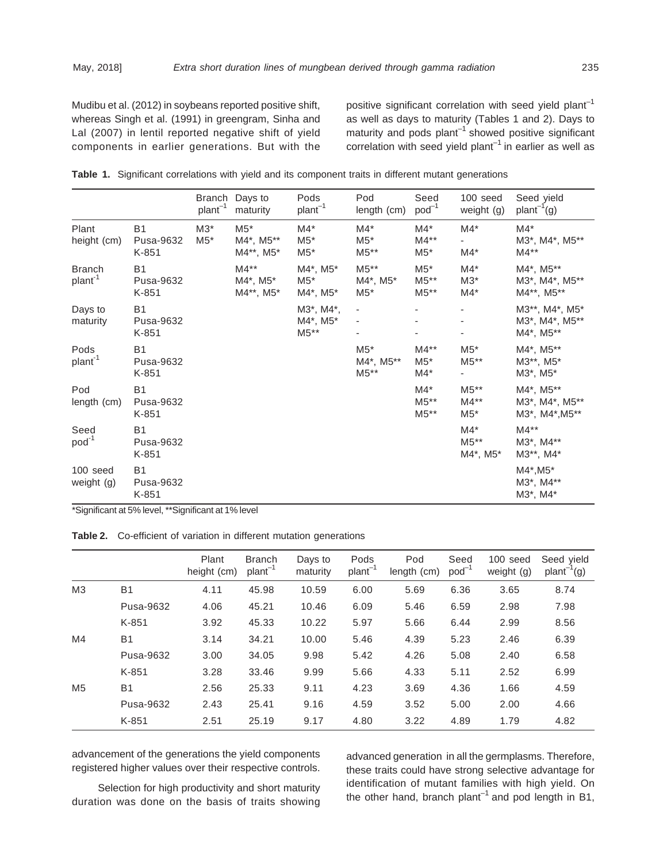Mudibu et al. (2012) in soybeans reported positive shift, whereas Singh et al. (1991) in greengram, Sinha and Lal (2007) in lentil reported negative shift of yield components in earlier generations. But with the positive significant correlation with seed yield plant<sup>-1</sup> as well as days to maturity (Tables 1 and 2). Days to maturity and pods plant<sup>-1</sup> showed positive significant correlation with seed yield plant<sup>-1</sup> in earlier as well as

|  |  |  |  |  |  |  |  |  |  |  |  | Table 1. Significant correlations with yield and its component traits in different mutant generations |
|--|--|--|--|--|--|--|--|--|--|--|--|-------------------------------------------------------------------------------------------------------|
|--|--|--|--|--|--|--|--|--|--|--|--|-------------------------------------------------------------------------------------------------------|

|                               |                                 | Branch<br>$plan-1$ | Days to<br>maturity             | Pods<br>plant <sup>-1</sup>    | Pod<br>length (cm)           | Seed<br>$pod^{-1}$        | 100 seed<br>weight (g)       | Seed yield<br>$plan-1(g)$                                   |
|-------------------------------|---------------------------------|--------------------|---------------------------------|--------------------------------|------------------------------|---------------------------|------------------------------|-------------------------------------------------------------|
| Plant<br>height (cm)          | <b>B1</b><br>Pusa-9632<br>K-851 | $M3*$<br>$M5*$     | $M5*$<br>M4*, M5**<br>M4**, M5* | $M4*$<br>$M5*$<br>$M5*$        | $M4*$<br>$M5*$<br>$M5**$     | $M4*$<br>$M4**$<br>$M5^*$ | $M4^*$<br>$M4^*$             | $M4^*$<br>M3*, M4*, M5**<br>$M4***$                         |
| Branch<br>plant <sup>-1</sup> | <b>B1</b><br>Pusa-9632<br>K-851 |                    | $M4**$<br>M4*, M5*<br>M4**, M5* | M4*, M5*<br>$M5^*$<br>M4*, M5* | $M5**$<br>M4*, M5*<br>$M5*$  | $M5*$<br>$M5**$<br>$M5**$ | $M4*$<br>$M3^*$<br>$M4*$     | M4*, M5**<br>M3*, M4*, M5**<br>M4**, M5**                   |
| Days to<br>maturity           | <b>B1</b><br>Pusa-9632<br>K-851 |                    |                                 | M3*, M4*,<br>M4*, M5*<br>M5**  | $\overline{\phantom{a}}$     |                           |                              | M3**, M4*, M5*<br>M3*, M4*, M5**<br>M4*, M5**               |
| Pods<br>plant <sup>-1</sup>   | <b>B1</b><br>Pusa-9632<br>K-851 |                    |                                 |                                | $M5*$<br>M4*, M5**<br>$M5**$ | $M4**$<br>$M5*$<br>$M4^*$ | $M5^*$<br>$M5**$             | M4*, M5**<br>M3**, M5*<br>M3 <sup>*</sup> , M5 <sup>*</sup> |
| Pod<br>length (cm)            | <b>B1</b><br>Pusa-9632<br>K-851 |                    |                                 |                                |                              | $M4*$<br>M5**<br>$M5**$   | $M5**$<br>$M4**$<br>$M5^*$   | M4*, M5**<br>M3*, M4*, M5**<br>M3*, M4*, M5**               |
| Seed<br>$pod^{-1}$            | <b>B1</b><br>Pusa-9632<br>K-851 |                    |                                 |                                |                              |                           | $M4^*$<br>$M5**$<br>M4*, M5* | $M4***$<br>M3*, M4**<br>M3**, M4*                           |
| 100 seed<br>weight (g)        | <b>B1</b><br>Pusa-9632<br>K-851 |                    |                                 |                                |                              |                           |                              | M4*, M5*<br>M3*, M4**<br>$M3^*$ , $M4^*$                    |

\*Significant at 5% level, \*\*Significant at 1% level

**Table 2.** Co-efficient of variation in different mutation generations

|                |           | Plant<br>height (cm) | <b>Branch</b><br>$plan-1$ | Days to<br>maturity | Pods<br>$plan-1$ | Pod<br>length (cm) | Seed<br>$pod^{-1}$ | 100 seed<br>weight (g) | Seed yield<br>$plan-1(g)$ |
|----------------|-----------|----------------------|---------------------------|---------------------|------------------|--------------------|--------------------|------------------------|---------------------------|
| M <sub>3</sub> | <b>B1</b> | 4.11                 | 45.98                     | 10.59               | 6.00             | 5.69               | 6.36               | 3.65                   | 8.74                      |
|                | Pusa-9632 | 4.06                 | 45.21                     | 10.46               | 6.09             | 5.46               | 6.59               | 2.98                   | 7.98                      |
|                | K-851     | 3.92                 | 45.33                     | 10.22               | 5.97             | 5.66               | 6.44               | 2.99                   | 8.56                      |
| M4             | <b>B1</b> | 3.14                 | 34.21                     | 10.00               | 5.46             | 4.39               | 5.23               | 2.46                   | 6.39                      |
|                | Pusa-9632 | 3.00                 | 34.05                     | 9.98                | 5.42             | 4.26               | 5.08               | 2.40                   | 6.58                      |
|                | K-851     | 3.28                 | 33.46                     | 9.99                | 5.66             | 4.33               | 5.11               | 2.52                   | 6.99                      |
| M5             | <b>B1</b> | 2.56                 | 25.33                     | 9.11                | 4.23             | 3.69               | 4.36               | 1.66                   | 4.59                      |
|                | Pusa-9632 | 2.43                 | 25.41                     | 9.16                | 4.59             | 3.52               | 5.00               | 2.00                   | 4.66                      |
|                | K-851     | 2.51                 | 25.19                     | 9.17                | 4.80             | 3.22               | 4.89               | 1.79                   | 4.82                      |

advancement of the generations the yield components registered higher values over their respective controls.

Selection for high productivity and short maturity duration was done on the basis of traits showing

advanced generation in all the germplasms. Therefore, these traits could have strong selective advantage for identification of mutant families with high yield. On the other hand, branch plant<sup>-1</sup> and pod length in B1,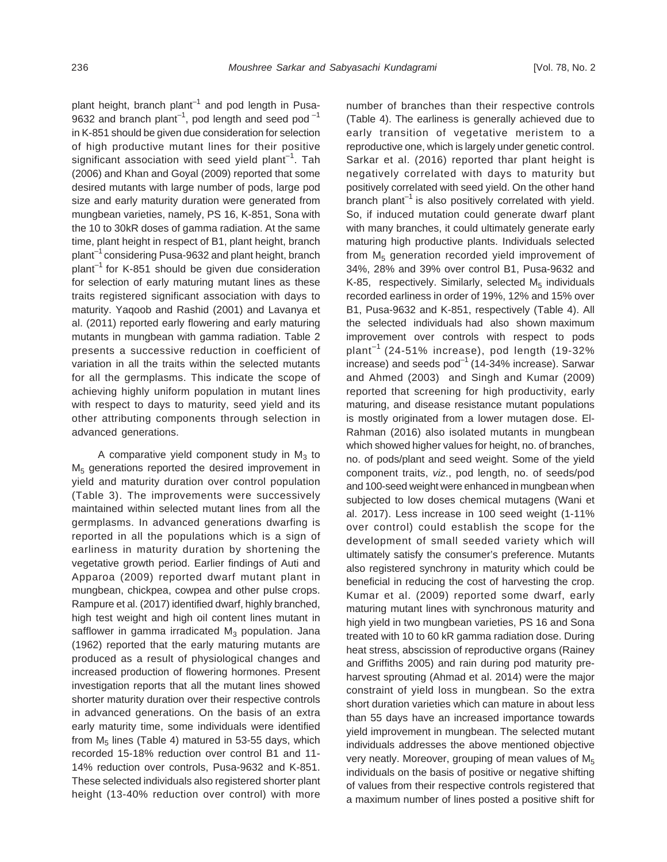plant height, branch plant<sup>-1</sup> and pod length in Pusa-9632 and branch plant<sup>-1</sup>, pod length and seed pod<sup>-1</sup> in K-851 should be given due consideration for selection of high productive mutant lines for their positive significant association with seed yield plant<sup>-1</sup>. Tah (2006) and Khan and Goyal (2009) reported that some desired mutants with large number of pods, large pod size and early maturity duration were generated from mungbean varieties, namely, PS 16, K-851, Sona with the 10 to 30kR doses of gamma radiation. At the same time, plant height in respect of B1, plant height, branch  $plant^{-1}$  considering Pusa-9632 and plant height, branch plant<sup>-1</sup> for K-851 should be given due consideration for selection of early maturing mutant lines as these traits registered significant association with days to maturity. Yaqoob and Rashid (2001) and Lavanya et al. (2011) reported early flowering and early maturing mutants in mungbean with gamma radiation. Table 2 presents a successive reduction in coefficient of variation in all the traits within the selected mutants for all the germplasms. This indicate the scope of achieving highly uniform population in mutant lines with respect to days to maturity, seed yield and its other attributing components through selection in advanced generations.

A comparative yield component study in  $M_3$  to M<sub>5</sub> generations reported the desired improvement in yield and maturity duration over control population (Table 3). The improvements were successively maintained within selected mutant lines from all the germplasms. In advanced generations dwarfing is reported in all the populations which is a sign of earliness in maturity duration by shortening the vegetative growth period. Earlier findings of Auti and Apparoa (2009) reported dwarf mutant plant in mungbean, chickpea, cowpea and other pulse crops. Rampure et al. (2017) identified dwarf, highly branched, high test weight and high oil content lines mutant in safflower in gamma irradicated  $M_3$  population. Jana (1962) reported that the early maturing mutants are produced as a result of physiological changes and increased production of flowering hormones. Present investigation reports that all the mutant lines showed shorter maturity duration over their respective controls in advanced generations. On the basis of an extra early maturity time, some individuals were identified from  $M<sub>5</sub>$  lines (Table 4) matured in 53-55 days, which recorded 15-18% reduction over control B1 and 11- 14% reduction over controls, Pusa-9632 and K-851. These selected individuals also registered shorter plant height (13-40% reduction over control) with more

number of branches than their respective controls (Table 4). The earliness is generally achieved due to early transition of vegetative meristem to a reproductive one, which is largely under genetic control. Sarkar et al. (2016) reported thar plant height is negatively correlated with days to maturity but positively correlated with seed yield. On the other hand branch plant<sup>-1</sup> is also positively correlated with yield. So, if induced mutation could generate dwarf plant with many branches, it could ultimately generate early maturing high productive plants. Individuals selected from  $M_5$  generation recorded yield improvement of 34%, 28% and 39% over control B1, Pusa-9632 and K-85, respectively. Similarly, selected  $M_5$  individuals recorded earliness in order of 19%, 12% and 15% over B1, Pusa-9632 and K-851, respectively (Table 4). All the selected individuals had also shown maximum improvement over controls with respect to pods plant<sup>-1</sup> (24-51% increase), pod length (19-32% increase) and seeds  $pod^{-1}$  (14-34% increase). Sarwar and Ahmed (2003) and Singh and Kumar (2009) reported that screening for high productivity, early maturing, and disease resistance mutant populations is mostly originated from a lower mutagen dose. El-Rahman (2016) also isolated mutants in mungbean which showed higher values for height, no. of branches, no. of pods/plant and seed weight. Some of the yield component traits, viz., pod length, no. of seeds/pod and 100-seed weight were enhanced in mungbean when subjected to low doses chemical mutagens (Wani et al. 2017). Less increase in 100 seed weight (1-11% over control) could establish the scope for the development of small seeded variety which will ultimately satisfy the consumer's preference. Mutants also registered synchrony in maturity which could be beneficial in reducing the cost of harvesting the crop. Kumar et al. (2009) reported some dwarf, early maturing mutant lines with synchronous maturity and high yield in two mungbean varieties, PS 16 and Sona treated with 10 to 60 kR gamma radiation dose. During heat stress, abscission of reproductive organs (Rainey and Griffiths 2005) and rain during pod maturity preharvest sprouting (Ahmad et al. 2014) were the major constraint of yield loss in mungbean. So the extra short duration varieties which can mature in about less than 55 days have an increased importance towards yield improvement in mungbean. The selected mutant individuals addresses the above mentioned objective very neatly. Moreover, grouping of mean values of  $M<sub>5</sub>$ individuals on the basis of positive or negative shifting of values from their respective controls registered that a maximum number of lines posted a positive shift for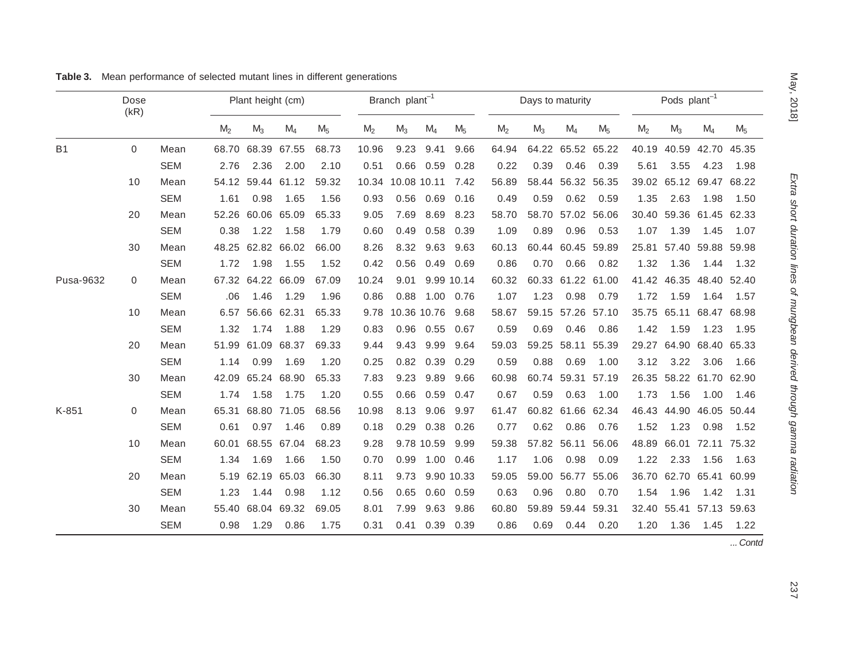|           | Dose<br>(kR) |            | Plant height (cm) |                   |                   |                | Branch plant <sup>-1</sup> |                        |                  | Days to maturity |                |       |                   | Pods plant <sup>-1</sup> |                |                         |       |       |
|-----------|--------------|------------|-------------------|-------------------|-------------------|----------------|----------------------------|------------------------|------------------|------------------|----------------|-------|-------------------|--------------------------|----------------|-------------------------|-------|-------|
|           |              |            | M <sub>2</sub>    | $M_3$             | $M_4$             | M <sub>5</sub> | M <sub>2</sub>             | $M_3$                  | $M_4$            | M <sub>5</sub>   | M <sub>2</sub> | $M_3$ | $M_4$             | M <sub>5</sub>           | M <sub>2</sub> | $M_3$                   | $M_4$ | $M_5$ |
| <b>B1</b> | $\mathbf 0$  | Mean       |                   |                   | 68.70 68.39 67.55 | 68.73          | 10.96                      | 9.23                   | 9.41             | 9.66             | 64.94          |       | 64.22 65.52 65.22 |                          | 40.19          | 40.59 42.70             |       | 45.35 |
|           |              | <b>SEM</b> | 2.76              | 2.36              | 2.00              | 2.10           | 0.51                       |                        | $0.66$ 0.59      | 0.28             | 0.22           | 0.39  | 0.46              | 0.39                     | 5.61           | 3.55                    | 4.23  | 1.98  |
|           | 10           | Mean       |                   |                   | 54.12 59.44 61.12 | 59.32          |                            | 10.34 10.08 10.11 7.42 |                  |                  | 56.89          |       | 58.44 56.32 56.35 |                          |                | 39.02 65.12 69.47 68.22 |       |       |
|           |              | <b>SEM</b> | 1.61              | 0.98              | 1.65              | 1.56           | 0.93                       |                        | $0.56$ 0.69      | 0.16             | 0.49           | 0.59  | 0.62              | 0.59                     | 1.35           | 2.63                    | 1.98  | 1.50  |
|           | 20           | Mean       |                   | 52.26 60.06 65.09 |                   | 65.33          | 9.05                       | 7.69                   | 8.69             | 8.23             | 58.70          |       | 58.70 57.02 56.06 |                          |                | 30.40 59.36 61.45 62.33 |       |       |
|           |              | <b>SEM</b> | 0.38              | 1.22              | 1.58              | 1.79           | 0.60                       | 0.49                   | 0.58             | 0.39             | 1.09           | 0.89  | 0.96              | 0.53                     | 1.07           | 1.39                    | 1.45  | 1.07  |
|           | 30           | Mean       |                   |                   | 48.25 62.82 66.02 | 66.00          | 8.26                       |                        | 8.32 9.63        | 9.63             | 60.13          |       | 60.44 60.45 59.89 |                          |                | 25.81 57.40 59.88 59.98 |       |       |
|           |              | <b>SEM</b> | 1.72              | 1.98              | 1.55              | 1.52           | 0.42                       | 0.56                   | 0.49             | 0.69             | 0.86           | 0.70  | 0.66              | 0.82                     | 1.32           | 1.36                    | 1.44  | 1.32  |
| Pusa-9632 | $\mathbf 0$  | Mean       |                   | 67.32 64.22 66.09 |                   | 67.09          | 10.24                      | 9.01                   | 9.99 10.14       |                  | 60.32          |       | 60.33 61.22 61.00 |                          |                | 41.42 46.35 48.40 52.40 |       |       |
|           |              | <b>SEM</b> | .06               | 1.46              | 1.29              | 1.96           | 0.86                       | 0.88                   | 1.00 0.76        |                  | 1.07           | 1.23  | 0.98              | 0.79                     | 1.72           | 1.59                    | 1.64  | 1.57  |
|           | 10           | Mean       |                   | 6.57 56.66 62.31  |                   | 65.33          |                            | 9.78 10.36 10.76       |                  | 9.68             | 58.67          |       | 59.15 57.26 57.10 |                          |                | 35.75 65.11 68.47 68.98 |       |       |
|           |              | <b>SEM</b> | 1.32              | 1.74              | 1.88              | 1.29           | 0.83                       |                        | 0.96  0.55  0.67 |                  | 0.59           | 0.69  | 0.46              | 0.86                     | 1.42           | 1.59                    | 1.23  | 1.95  |
|           | 20           | Mean       |                   |                   | 51.99 61.09 68.37 | 69.33          | 9.44                       | 9.43                   | 9.99             | 9.64             | 59.03          |       | 59.25 58.11 55.39 |                          |                | 29.27 64.90 68.40 65.33 |       |       |
|           |              | SEM        | 1.14              | 0.99              | 1.69              | 1.20           | 0.25                       |                        | 0.82 0.39        | 0.29             | 0.59           | 0.88  | 0.69              | 1.00                     | 3.12           | 3.22                    | 3.06  | 1.66  |
|           | 30           | Mean       |                   | 42.09 65.24 68.90 |                   | 65.33          | 7.83                       |                        | 9.23 9.89        | 9.66             | 60.98          |       | 60.74 59.31 57.19 |                          |                | 26.35 58.22 61.70 62.90 |       |       |
|           |              | <b>SEM</b> | 1.74              | 1.58              | 1.75              | 1.20           | 0.55                       | 0.66                   | 0.59             | 0.47             | 0.67           | 0.59  | 0.63              | 1.00                     | 1.73           | 1.56                    | 1.00  | 1.46  |
| K-851     | 0            | Mean       |                   | 65.31 68.80 71.05 |                   | 68.56          | 10.98                      |                        | 8.13 9.06        | 9.97             | 61.47          |       | 60.82 61.66 62.34 |                          |                | 46.43 44.90 46.05 50.44 |       |       |
|           |              | <b>SEM</b> | 0.61              | 0.97              | 1.46              | 0.89           | 0.18                       |                        | $0.29$ 0.38      | 0.26             | 0.77           | 0.62  | 0.86              | 0.76                     | 1.52           | 1.23                    | 0.98  | 1.52  |
|           | 10           | Mean       |                   |                   | 60.01 68.55 67.04 | 68.23          | 9.28                       |                        | 9.78 10.59       | 9.99             | 59.38          |       | 57.82 56.11 56.06 |                          |                | 48.89 66.01 72.11 75.32 |       |       |
|           |              | <b>SEM</b> | 1.34              | 1.69              | 1.66              | 1.50           | 0.70                       |                        | 0.99 1.00 0.46   |                  | 1.17           | 1.06  | 0.98              | 0.09                     | 1.22           | 2.33                    | 1.56  | 1.63  |
|           | 20           | Mean       |                   |                   | 5.19 62.19 65.03  | 66.30          | 8.11                       |                        | 9.73 9.90 10.33  |                  | 59.05          |       | 59.00 56.77 55.06 |                          |                | 36.70 62.70 65.41 60.99 |       |       |
|           |              | <b>SEM</b> | 1.23              | 1.44              | 0.98              | 1.12           | 0.56                       | 0.65                   | 0.60             | 0.59             | 0.63           | 0.96  | 0.80              | 0.70                     | 1.54           | 1.96                    | 1.42  | 1.31  |
|           | 30           | Mean       |                   | 55.40 68.04 69.32 |                   | 69.05          | 8.01                       | 7.99                   | 9.63             | 9.86             | 60.80          |       | 59.89 59.44 59.31 |                          |                | 32.40 55.41 57.13 59.63 |       |       |
|           |              | <b>SEM</b> | 0.98              |                   | 1.29 0.86         | 1.75           | 0.31                       |                        | 0.41 0.39 0.39   |                  | 0.86           | 0.69  | 0.44              | 0.20                     | 1.20           | 1.36                    | 1.45  | 1.22  |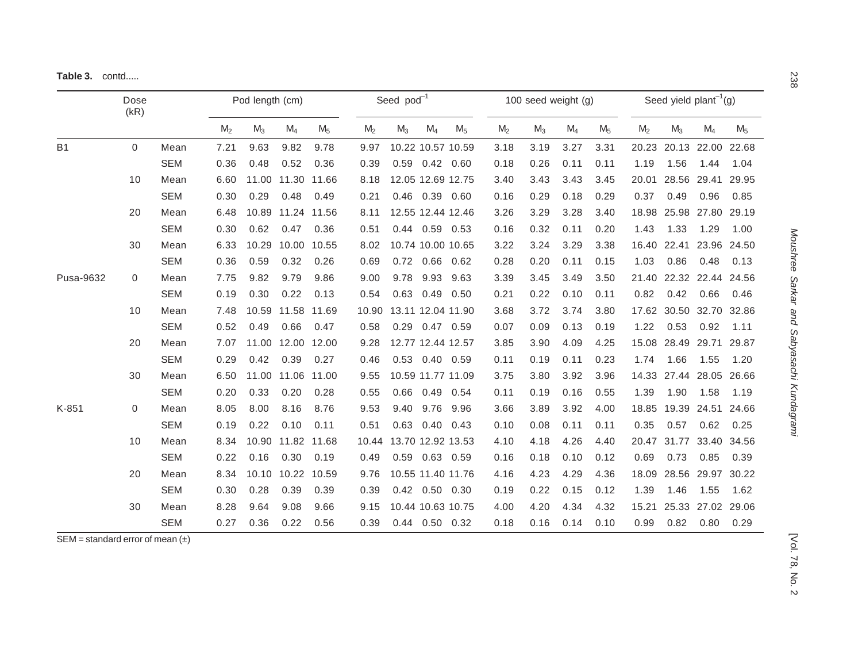|  | Table 3. |  | contd |
|--|----------|--|-------|
|--|----------|--|-------|

|           | Dose<br>(kR)        | Pod length (cm) |                |       | Seed pod <sup>-1</sup> |                |                | 100 seed weight $(q)$   |                      |                |                | Seed yield plant <sup>-1</sup> (g) |       |                |                |                         |                   |                |
|-----------|---------------------|-----------------|----------------|-------|------------------------|----------------|----------------|-------------------------|----------------------|----------------|----------------|------------------------------------|-------|----------------|----------------|-------------------------|-------------------|----------------|
|           |                     |                 | M <sub>2</sub> | $M_3$ | $M_4$                  | M <sub>5</sub> | M <sub>2</sub> | $M_3$                   | $M_4$                | M <sub>5</sub> | M <sub>2</sub> | $M_3$                              | $M_4$ | M <sub>5</sub> | M <sub>2</sub> | $M_3$                   | $M_4$             | M <sub>5</sub> |
| <b>B1</b> | $\mathsf{O}\xspace$ | Mean            | 7.21           | 9.63  | 9.82                   | 9.78           | 9.97           | 10.22 10.57 10.59       |                      |                | 3.18           | 3.19                               | 3.27  | 3.31           | 20.23          |                         | 20.13 22.00       | 22.68          |
|           |                     | <b>SEM</b>      | 0.36           | 0.48  | 0.52                   | 0.36           | 0.39           |                         | $0.59$ $0.42$ $0.60$ |                | 0.18           | 0.26                               | 0.11  | 0.11           | 1.19           | 1.56                    | 1.44              | 1.04           |
|           | 10                  | Mean            | 6.60           |       | 11.00 11.30 11.66      |                | 8.18           | 12.05 12.69 12.75       |                      |                | 3.40           | 3.43                               | 3.43  | 3.45           | 20.01          |                         | 28.56 29.41 29.95 |                |
|           |                     | <b>SEM</b>      | 0.30           | 0.29  | 0.48                   | 0.49           | 0.21           |                         | 0.46 0.39 0.60       |                | 0.16           | 0.29                               | 0.18  | 0.29           | 0.37           | 0.49                    | 0.96              | 0.85           |
|           | 20                  | Mean            | 6.48           |       | 10.89 11.24 11.56      |                | 8.11           | 12.55 12.44 12.46       |                      |                | 3.26           | 3.29                               | 3.28  | 3.40           | 18.98          |                         | 25.98 27.80       | 29.19          |
|           |                     | <b>SEM</b>      | 0.30           | 0.62  | 0.47                   | 0.36           | 0.51           |                         | 0.44 0.59 0.53       |                | 0.16           | 0.32                               | 0.11  | 0.20           | 1.43           | 1.33                    | 1.29              | 1.00           |
|           | 30                  | Mean            | 6.33           | 10.29 | 10.00 10.55            |                | 8.02           | 10.74 10.00 10.65       |                      |                | 3.22           | 3.24                               | 3.29  | 3.38           | 16.40          |                         | 22.41 23.96 24.50 |                |
|           |                     | <b>SEM</b>      | 0.36           | 0.59  | 0.32                   | 0.26           | 0.69           |                         | 0.72 0.66 0.62       |                | 0.28           | 0.20                               | 0.11  | 0.15           | 1.03           | 0.86                    | 0.48              | 0.13           |
| Pusa-9632 | 0                   | Mean            | 7.75           | 9.82  | 9.79                   | 9.86           | 9.00           |                         | 9.78 9.93 9.63       |                | 3.39           | 3.45                               | 3.49  | 3.50           |                | 21.40 22.32 22.44 24.56 |                   |                |
|           |                     | <b>SEM</b>      | 0.19           | 0.30  | 0.22                   | 0.13           | 0.54           |                         | $0.63$ 0.49          | 0.50           | 0.21           | 0.22                               | 0.10  | 0.11           | 0.82           | 0.42                    | 0.66              | 0.46           |
|           | 10                  | Mean            | 7.48           |       | 10.59 11.58 11.69      |                |                | 10.90 13.11 12.04 11.90 |                      |                | 3.68           | 3.72                               | 3.74  | 3.80           |                | 17.62 30.50 32.70 32.86 |                   |                |
|           |                     | <b>SEM</b>      | 0.52           | 0.49  | 0.66                   | 0.47           | 0.58           |                         | 0.29 0.47 0.59       |                | 0.07           | 0.09                               | 0.13  | 0.19           | 1.22           | 0.53                    | 0.92              | 1.11           |
|           | 20                  | Mean            | 7.07           |       | 11.00 12.00 12.00      |                | 9.28           | 12.77 12.44 12.57       |                      |                | 3.85           | 3.90                               | 4.09  | 4.25           | 15.08          | 28.49 29.71             |                   | 29.87          |
|           |                     | <b>SEM</b>      | 0.29           | 0.42  | 0.39                   | 0.27           | 0.46           |                         | 0.53  0.40  0.59     |                | 0.11           | 0.19                               | 0.11  | 0.23           | 1.74           | 1.66                    | 1.55              | 1.20           |
|           | 30                  | Mean            | 6.50           |       | 11.00 11.06 11.00      |                | 9.55           | 10.59 11.77 11.09       |                      |                | 3.75           | 3.80                               | 3.92  | 3.96           |                | 14.33 27.44 28.05 26.66 |                   |                |
|           |                     | <b>SEM</b>      | 0.20           | 0.33  | 0.20                   | 0.28           | 0.55           | 0.66                    | 0.49                 | 0.54           | 0.11           | 0.19                               | 0.16  | 0.55           | 1.39           | 1.90                    | 1.58              | 1.19           |
| K-851     | 0                   | Mean            | 8.05           | 8.00  | 8.16                   | 8.76           | 9.53           |                         | 9.40 9.76            | 9.96           | 3.66           | 3.89                               | 3.92  | 4.00           | 18.85          | 19.39 24.51             |                   | 24.66          |
|           |                     | <b>SEM</b>      | 0.19           | 0.22  | 0.10                   | 0.11           | 0.51           |                         | 0.63  0.40  0.43     |                | 0.10           | 0.08                               | 0.11  | 0.11           | 0.35           | 0.57                    | 0.62              | 0.25           |
|           | 10                  | Mean            | 8.34           |       | 10.90 11.82 11.68      |                |                | 10.44 13.70 12.92 13.53 |                      |                | 4.10           | 4.18                               | 4.26  | 4.40           |                | 20.47 31.77 33.40       |                   | 34.56          |
|           |                     | <b>SEM</b>      | 0.22           | 0.16  | 0.30                   | 0.19           | 0.49           |                         | 0.59 0.63 0.59       |                | 0.16           | 0.18                               | 0.10  | 0.12           | 0.69           | 0.73                    | 0.85              | 0.39           |
|           | 20                  | Mean            | 8.34           |       | 10.10 10.22 10.59      |                | 9.76           | 10.55 11.40 11.76       |                      |                | 4.16           | 4.23                               | 4.29  | 4.36           | 18.09          |                         | 28.56 29.97 30.22 |                |
|           |                     | <b>SEM</b>      | 0.30           | 0.28  | 0.39                   | 0.39           | 0.39           |                         | 0.42  0.50  0.30     |                | 0.19           | 0.22                               | 0.15  | 0.12           | 1.39           | 1.46                    | 1.55              | 1.62           |
|           | 30                  | Mean            | 8.28           | 9.64  | 9.08                   | 9.66           | 9.15           | 10.44 10.63 10.75       |                      |                | 4.00           | 4.20                               | 4.34  | 4.32           | 15.21          |                         | 25.33 27.02 29.06 |                |
|           |                     | <b>SEM</b>      | 0.27           | 0.36  | 0.22                   | 0.56           | 0.39           |                         | 0.44 0.50 0.32       |                | 0.18           | 0.16                               | 0.14  | 0.10           | 0.99           | 0.82                    | $0.80$ 0.29       |                |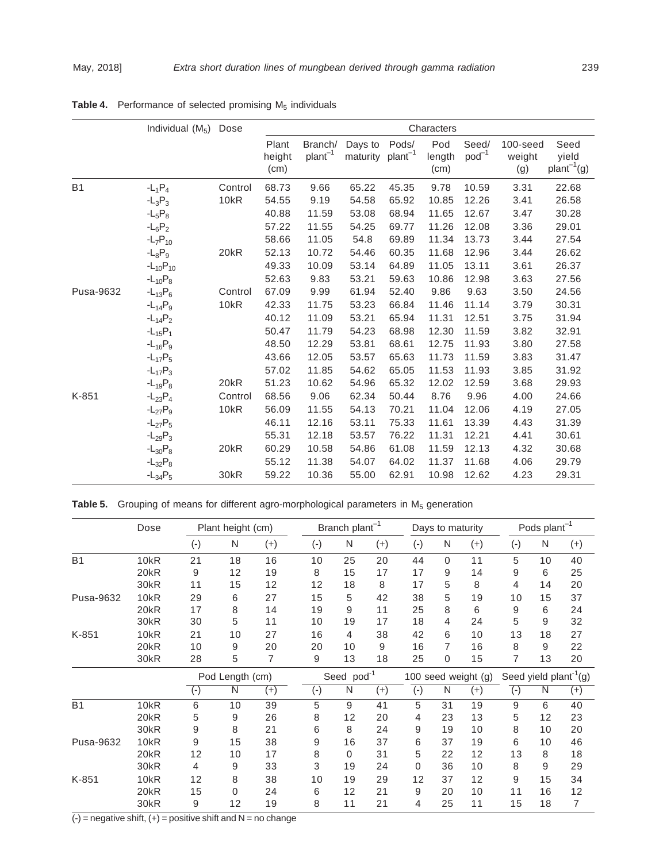|           | Individual $(M_5)$ | Dose             |                         |                     |                     |                   | Characters            |                     |                           |                              |
|-----------|--------------------|------------------|-------------------------|---------------------|---------------------|-------------------|-----------------------|---------------------|---------------------------|------------------------------|
|           |                    |                  | Plant<br>height<br>(cm) | Branch/<br>$plan-1$ | Days to<br>maturity | Pods/<br>$plan-1$ | Pod<br>length<br>(cm) | Seed/<br>$pod^{-1}$ | 100-seed<br>weight<br>(g) | Seed<br>yield<br>$plan-1(g)$ |
| <b>B1</b> | $-L_1P_4$          | Control          | 68.73                   | 9.66                | 65.22               | 45.35             | 9.78                  | 10.59               | 3.31                      | 22.68                        |
|           | $-L_3P_3$          | 10kR             | 54.55                   | 9.19                | 54.58               | 65.92             | 10.85                 | 12.26               | 3.41                      | 26.58                        |
|           | $-L_5P_8$          |                  | 40.88                   | 11.59               | 53.08               | 68.94             | 11.65                 | 12.67               | 3.47                      | 30.28                        |
|           | $-L_6P_2$          |                  | 57.22                   | 11.55               | 54.25               | 69.77             | 11.26                 | 12.08               | 3.36                      | 29.01                        |
|           | $-L_7P_{10}$       |                  | 58.66                   | 11.05               | 54.8                | 69.89             | 11.34                 | 13.73               | 3.44                      | 27.54                        |
|           | $-L_8P_9$          | 20kR             | 52.13                   | 10.72               | 54.46               | 60.35             | 11.68                 | 12.96               | 3.44                      | 26.62                        |
|           | $-L_{10}P_{10}$    |                  | 49.33                   | 10.09               | 53.14               | 64.89             | 11.05                 | 13.11               | 3.61                      | 26.37                        |
|           | $-L_{10}P_8$       |                  | 52.63                   | 9.83                | 53.21               | 59.63             | 10.86                 | 12.98               | 3.63                      | 27.56                        |
| Pusa-9632 | $-L_{13}P_6$       | Control          | 67.09                   | 9.99                | 61.94               | 52.40             | 9.86                  | 9.63                | 3.50                      | 24.56                        |
|           | $-L_{14}P_9$       | 10kR             | 42.33                   | 11.75               | 53.23               | 66.84             | 11.46                 | 11.14               | 3.79                      | 30.31                        |
|           | $-L_{14}P_2$       |                  | 40.12                   | 11.09               | 53.21               | 65.94             | 11.31                 | 12.51               | 3.75                      | 31.94                        |
|           | $-L_{15}P_1$       |                  | 50.47                   | 11.79               | 54.23               | 68.98             | 12.30                 | 11.59               | 3.82                      | 32.91                        |
|           | $-L_{16}P_9$       |                  | 48.50                   | 12.29               | 53.81               | 68.61             | 12.75                 | 11.93               | 3.80                      | 27.58                        |
|           | $-L_{17}P_5$       |                  | 43.66                   | 12.05               | 53.57               | 65.63             | 11.73                 | 11.59               | 3.83                      | 31.47                        |
|           | $-L_{17}P_3$       |                  | 57.02                   | 11.85               | 54.62               | 65.05             | 11.53                 | 11.93               | 3.85                      | 31.92                        |
|           | $-L_{19}P_8$       | 20 <sub>kR</sub> | 51.23                   | 10.62               | 54.96               | 65.32             | 12.02                 | 12.59               | 3.68                      | 29.93                        |
| K-851     | $-L_{23}P_4$       | Control          | 68.56                   | 9.06                | 62.34               | 50.44             | 8.76                  | 9.96                | 4.00                      | 24.66                        |
|           | $-L_{27}P_9$       | 10kR             | 56.09                   | 11.55               | 54.13               | 70.21             | 11.04                 | 12.06               | 4.19                      | 27.05                        |
|           | $-L_{27}P_5$       |                  | 46.11                   | 12.16               | 53.11               | 75.33             | 11.61                 | 13.39               | 4.43                      | 31.39                        |
|           | $-L_{29}P_3$       |                  | 55.31                   | 12.18               | 53.57               | 76.22             | 11.31                 | 12.21               | 4.41                      | 30.61                        |
|           | $-L_{30}P_8$       | 20kR             | 60.29                   | 10.58               | 54.86               | 61.08             | 11.59                 | 12.13               | 4.32                      | 30.68                        |
|           | $-L_{32}P_8$       |                  | 55.12                   | 11.38               | 54.07               | 64.02             | 11.37                 | 11.68               | 4.06                      | 29.79                        |
|           | $-L_{34}P_5$       | 30kR             | 59.22                   | 10.36               | 55.00               | 62.91             | 10.98                 | 12.62               | 4.23                      | 29.31                        |

**Table 4.** Performance of selected promising M<sub>5</sub> individuals

|  | Table 5. Grouping of means for different agro-morphological parameters in M <sub>5</sub> generation |  |  |  |  |  |  |  |
|--|-----------------------------------------------------------------------------------------------------|--|--|--|--|--|--|--|
|--|-----------------------------------------------------------------------------------------------------|--|--|--|--|--|--|--|

|           | Dose             |                    | Plant height (cm) |          |                    | Branch plant <sup>-1</sup> |          |          | Days to maturity |                     |           | Pods plant <sup>-1</sup> |                                    |
|-----------|------------------|--------------------|-------------------|----------|--------------------|----------------------------|----------|----------|------------------|---------------------|-----------|--------------------------|------------------------------------|
|           |                  | $(-)$              | N                 | $(+)$    | $(-)$              | N                          | $^{(+)}$ | $(-)$    | N                | $(+)$               | $(-)$     | $\mathsf{N}$             | $^{(+)}$                           |
| <b>B1</b> | 10kR             | 21                 | 18                | 16       | 10                 | 25                         | 20       | 44       | $\Omega$         | 11                  | 5         | 10                       | 40                                 |
|           | 20kR             | 9                  | 12                | 19       | 8                  | 15                         | 17       | 17       | 9                | 14                  | 9         | 6                        | 25                                 |
|           | 30kR             | 11                 | 15                | 12       | 12                 | 18                         | 8        | 17       | 5                | 8                   | 4         | 14                       | 20                                 |
| Pusa-9632 | 10 <sub>kR</sub> | 29                 | 6                 | 27       | 15                 | 5                          | 42       | 38       | 5                | 19                  | 10        | 15                       | 37                                 |
|           | 20kR             | 17                 | 8                 | 14       | 19                 | 9                          | 11       | 25       | 8                | 6                   | 9         | 6                        | 24                                 |
|           | 30kR             | 30                 | 5                 | 11       | 10                 | 19                         | 17       | 18       | 4                | 24                  | 5         | 9                        | 32                                 |
| K-851     | 10kR             | 21                 | 10                | 27       | 16                 | $\overline{4}$             | 38       | 42       | 6                | 10                  | 13        | 18                       | 27                                 |
|           | 20kR             | 10                 | 9                 | 20       | 20                 | 10                         | 9        | 16       | 7                | 16                  | 8         | 9                        | 22                                 |
|           | 30kR             | 28                 | 5                 | 7        | 9                  | 13                         | 18       | 25       | 0                | 15                  | 7         | 13                       | 20                                 |
|           |                  |                    | Pod Length (cm)   |          |                    | Seed pod <sup>-1</sup>     |          |          |                  | 100 seed weight (g) |           |                          | Seed yield plant <sup>-1</sup> (g) |
|           |                  | $(\textnormal{-})$ | N                 | $^{(+)}$ | $(\textnormal{-})$ | N                          | $(+)$    | $(-)$    | N                | $^{(+)}$            | $(\cdot)$ | N                        | $^{(+)}$                           |
| <b>B1</b> | 10kR             | 6                  | 10                | 39       | 5                  | 9                          | 41       | 5        | 31               | 19                  | 9         | 6                        | 40                                 |
|           | 20 <sub>kR</sub> | 5                  | 9                 | 26       | 8                  | 12                         | 20       | 4        | 23               | 13                  | 5         | 12                       | 23                                 |
|           | 30kR             | 9                  | 8                 | 21       | 6                  | 8                          | 24       | 9        | 19               | 10                  | 8         | 10                       | 20                                 |
| Pusa-9632 | 10 <sub>kR</sub> | 9                  | 15                | 38       | 9                  | 16                         | 37       | 6        | 37               | 19                  | 6         | 10                       | 46                                 |
|           | 20kR             | 12                 | 10                | 17       | 8                  | $\Omega$                   | 31       | 5        | 22               | 12                  | 13        | 8                        | 18                                 |
|           | 30kR             | 4                  | 9                 | 33       | 3                  | 19                         | 24       | $\Omega$ | 36               | 10                  | 8         | 9                        | 29                                 |
| K-851     | 10kR             | 12                 | 8                 | 38       | 10                 | 19                         | 29       | 12       | 37               | 12                  | 9         | 15                       | 34                                 |
|           | 20kR             | 15                 | $\Omega$          | 24       | 6                  | 12                         | 21       | 9        | 20               | 10                  | 11        | 16                       | 12                                 |
|           | 30kR             | 9                  | 12                | 19       | 8                  | 11                         | 21       | 4        | 25               | 11                  | 15        | 18                       | 7                                  |

 $\overline{(-)}$  = negative shift,  $(+)$  = positive shift and N = no change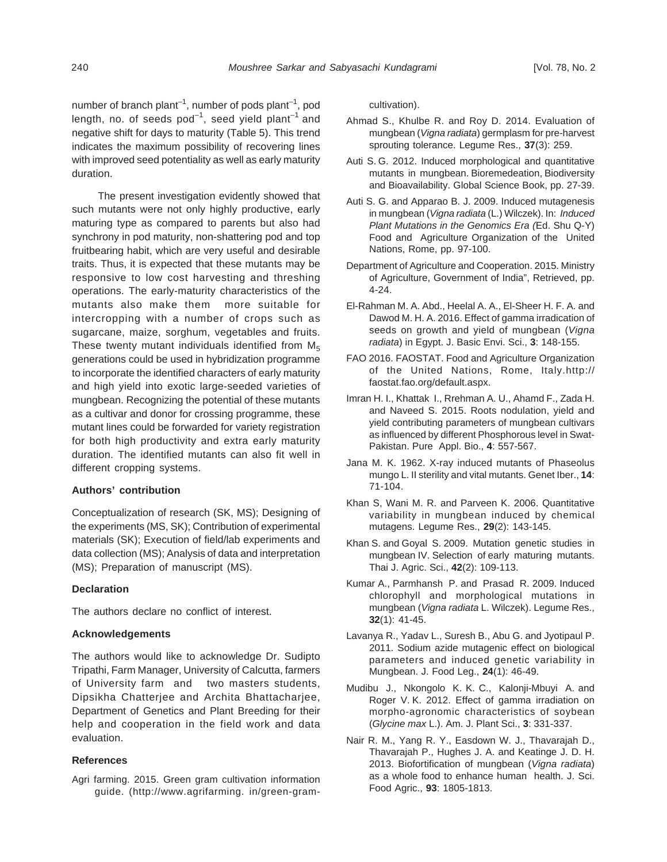number of branch plant<sup>-1</sup>, number of pods plant<sup>-1</sup>, pod length, no. of seeds  $pod^{-1}$ , seed yield plant<sup>-1</sup> and negative shift for days to maturity (Table 5). This trend indicates the maximum possibility of recovering lines with improved seed potentiality as well as early maturity duration.

The present investigation evidently showed that such mutants were not only highly productive, early maturing type as compared to parents but also had synchrony in pod maturity, non-shattering pod and top fruitbearing habit, which are very useful and desirable traits. Thus, it is expected that these mutants may be responsive to low cost harvesting and threshing operations. The early-maturity characteristics of the mutants also make them more suitable for intercropping with a number of crops such as sugarcane, maize, sorghum, vegetables and fruits. These twenty mutant individuals identified from  $M<sub>5</sub>$ generations could be used in hybridization programme to incorporate the identified characters of early maturity and high yield into exotic large-seeded varieties of mungbean. Recognizing the potential of these mutants as a cultivar and donor for crossing programme, these mutant lines could be forwarded for variety registration for both high productivity and extra early maturity duration. The identified mutants can also fit well in different cropping systems.

### **Authors' contribution**

Conceptualization of research (SK, MS); Designing of the experiments (MS, SK); Contribution of experimental materials (SK); Execution of field/lab experiments and data collection (MS); Analysis of data and interpretation (MS); Preparation of manuscript (MS).

### **Declaration**

The authors declare no conflict of interest.

### **Acknowledgements**

The authors would like to acknowledge Dr. Sudipto Tripathi, Farm Manager, University of Calcutta, farmers of University farm and two masters students, Dipsikha Chatterjee and Archita Bhattacharjee, Department of Genetics and Plant Breeding for their help and cooperation in the field work and data evaluation.

### **References**

Agri farming. 2015. Green gram cultivation information guide. (http://www.agrifarming. in/green-gramcultivation).

- Ahmad S., Khulbe R. and Roy D. 2014. Evaluation of mungbean (Vigna radiata) germplasm for pre-harvest sprouting tolerance. Legume Res., **37**(3): 259.
- Auti S. G. 2012. Induced morphological and quantitative mutants in mungbean. Bioremedeation, Biodiversity and Bioavailability. Global Science Book, pp. 27-39.
- Auti S. G. and Apparao B. J. 2009. Induced mutagenesis in mungbean (Vigna radiata (L.) Wilczek). In: Induced Plant Mutations in the Genomics Era (Ed. Shu Q-Y) Food and Agriculture Organization of the United Nations, Rome, pp. 97-100.
- Department of Agriculture and Cooperation. 2015. Ministry of Agriculture, Government of India", Retrieved, pp. 4-24.
- El-Rahman M. A. Abd., Heelal A. A., El-Sheer H. F. A. and Dawod M. H. A. 2016. Effect of gamma irradication of seeds on growth and yield of mungbean (Vigna radiata) in Egypt. J. Basic Envi. Sci., **3**: 148-155.
- FAO 2016. FAOSTAT. Food and Agriculture Organization of the United Nations, Rome, Italy.http:// faostat.fao.org/default.aspx.
- Imran H. I., Khattak I., Rrehman A. U., Ahamd F., Zada H. and Naveed S. 2015. Roots nodulation, yield and yield contributing parameters of mungbean cultivars as influenced by different Phosphorous level in Swat-Pakistan. Pure Appl. Bio., **4**: 557-567.
- Jana M. K. 1962. X-ray induced mutants of Phaseolus mungo L. II sterility and vital mutants. Genet Iber., **14**: 71-104.
- Khan S, Wani M. R. and Parveen K. 2006. Quantitative variability in mungbean induced by chemical mutagens. Legume Res., **29**(2): 143-145.
- Khan S. and Goyal S. 2009. Mutation genetic studies in mungbean IV. Selection of early maturing mutants. Thai J. Agric. Sci., **42**(2): 109-113.
- Kumar A., Parmhansh P. and Prasad R. 2009. Induced chlorophyll and morphological mutations in mungbean (Vigna radiata L. Wilczek). Legume Res., **32**(1): 41-45.
- Lavanya R., Yadav L., Suresh B., Abu G. and Jyotipaul P. 2011. Sodium azide mutagenic effect on biological parameters and induced genetic variability in Mungbean. J. Food Leg., **24**(1): 46-49.
- Mudibu J., Nkongolo K. K. C., Kalonji-Mbuyi A. and Roger V. K. 2012. Effect of gamma irradiation on morpho-agronomic characteristics of soybean (Glycine max L.). Am. J. Plant Sci., **3**: 331-337.
- Nair R. M., Yang R. Y., Easdown W. J., Thavarajah D., Thavarajah P., Hughes J. A. and Keatinge J. D. H. 2013. Biofortification of mungbean (Vigna radiata) as a whole food to enhance human health. J. Sci. Food Agric., **93**: 1805-1813.